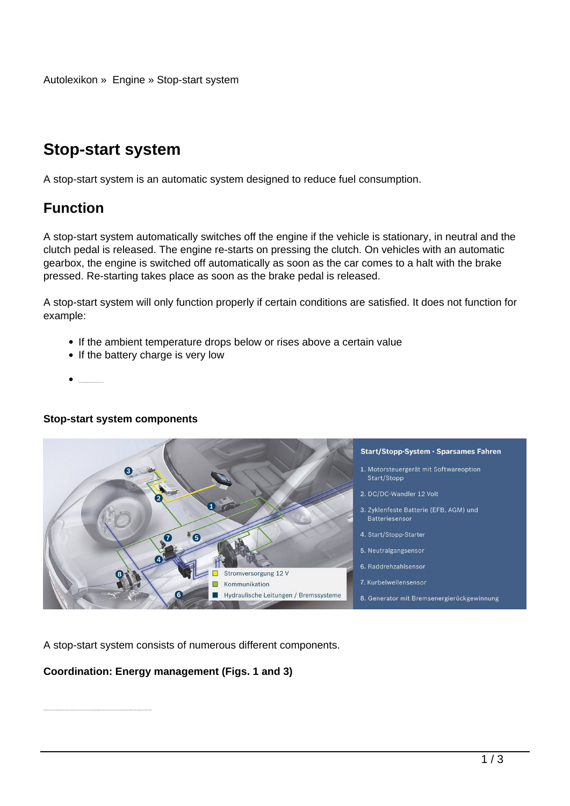# **Stop-start system**

A stop-start system is an automatic system designed to reduce fuel consumption.

## **Function**

A stop-start system automatically switches off the engine if the vehicle is stationary, in neutral and the clutch pedal is released. The engine re-starts on pressing the clutch. On vehicles with an automatic gearbox, the engine is switched off automatically as soon as the car comes to a halt with the brake pressed. Re-starting takes place as soon as the brake pedal is released.

A stop-start system will only function properly if certain conditions are satisfied. It does not function for example:

- If the ambient temperature drops below or rises above a certain value
- If the battery charge is very low
- 

#### **Stop-start system components**



A stop-start system consists of numerous different components.

#### **Coordination: Energy management (Figs. 1 and 3)**

Textile listing of all counsel owned contact and building and subscriptions of the pain department with documents and interest counter and contact the contact of the owner and only of the film of the film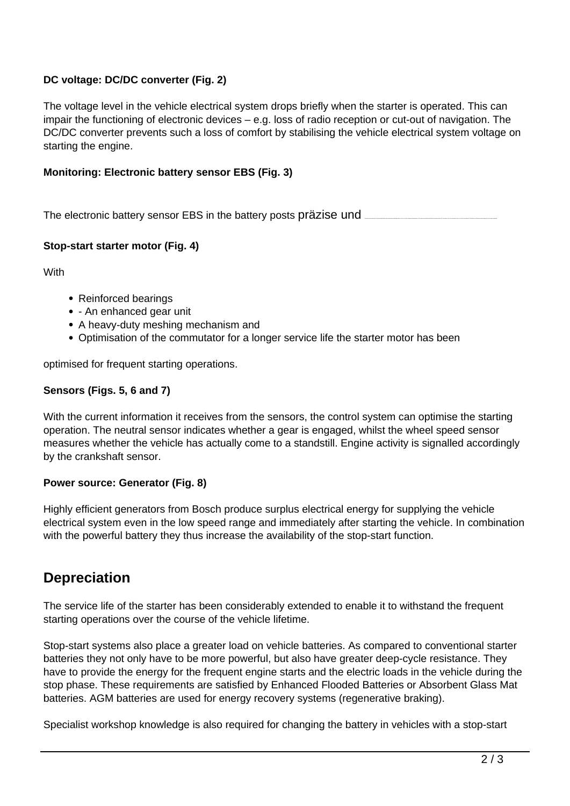### **DC voltage: DC/DC converter (Fig. 2)**

The voltage level in the vehicle electrical system drops briefly when the starter is operated. This can impair the functioning of electronic devices – e.g. loss of radio reception or cut-out of navigation. The DC/DC converter prevents such a loss of comfort by stabilising the vehicle electrical system voltage on starting the engine.

#### **Monitoring: Electronic battery sensor EBS (Fig. 3)**

The electronic battery sensor EBS in the battery posts präzise und

#### **Stop-start starter motor (Fig. 4)**

**With** 

- Reinforced bearings
- - An enhanced gear unit
- A heavy-duty meshing mechanism and
- Optimisation of the commutator for a longer service life the starter motor has been

optimised for frequent starting operations.

#### **Sensors (Figs. 5, 6 and 7)**

With the current information it receives from the sensors, the control system can optimise the starting operation. The neutral sensor indicates whether a gear is engaged, whilst the wheel speed sensor measures whether the vehicle has actually come to a standstill. Engine activity is signalled accordingly by the crankshaft sensor.

#### **Power source: Generator (Fig. 8)**

Highly efficient generators from Bosch produce surplus electrical energy for supplying the vehicle electrical system even in the low speed range and immediately after starting the vehicle. In combination with the powerful battery they thus increase the availability of the stop-start function.

## **Depreciation**

The service life of the starter has been considerably extended to enable it to withstand the frequent starting operations over the course of the vehicle lifetime.

Stop-start systems also place a greater load on vehicle batteries. As compared to conventional starter batteries they not only have to be more powerful, but also have greater deep-cycle resistance. They have to provide the energy for the frequent engine starts and the electric loads in the vehicle during the stop phase. These requirements are satisfied by Enhanced Flooded Batteries or Absorbent Glass Mat batteries. AGM batteries are used for energy recovery systems (regenerative braking).

Specialist workshop knowledge is also required for changing the battery in vehicles with a stop-start